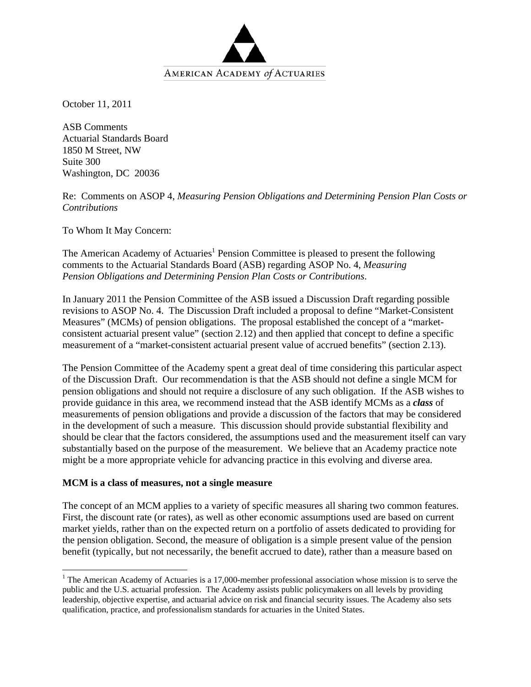

October 11, 2011

ASB Comments Actuarial Standards Board 1850 M Street, NW Suite 300 Washington, DC 20036

## Re: Comments on ASOP 4, *Measuring Pension Obligations and Determining Pension Plan Costs or Contributions*

To Whom It May Concern:

 $\overline{a}$ 

The American Academy of Actuaries<sup>1</sup> Pension Committee is pleased to present the following comments to the Actuarial Standards Board (ASB) regarding ASOP No. 4, *Measuring Pension Obligations and Determining Pension Plan Costs or Contributions*.

In January 2011 the Pension Committee of the ASB issued a Discussion Draft regarding possible revisions to ASOP No. 4. The Discussion Draft included a proposal to define "Market-Consistent Measures" (MCMs) of pension obligations. The proposal established the concept of a "marketconsistent actuarial present value" (section 2.12) and then applied that concept to define a specific measurement of a "market-consistent actuarial present value of accrued benefits" (section 2.13).

The Pension Committee of the Academy spent a great deal of time considering this particular aspect of the Discussion Draft. Our recommendation is that the ASB should not define a single MCM for pension obligations and should not require a disclosure of any such obligation. If the ASB wishes to provide guidance in this area, we recommend instead that the ASB identify MCMs as a *class* of measurements of pension obligations and provide a discussion of the factors that may be considered in the development of such a measure. This discussion should provide substantial flexibility and should be clear that the factors considered, the assumptions used and the measurement itself can vary substantially based on the purpose of the measurement. We believe that an Academy practice note might be a more appropriate vehicle for advancing practice in this evolving and diverse area.

## **MCM is a class of measures, not a single measure**

The concept of an MCM applies to a variety of specific measures all sharing two common features. First, the discount rate (or rates), as well as other economic assumptions used are based on current market yields, rather than on the expected return on a portfolio of assets dedicated to providing for the pension obligation. Second, the measure of obligation is a simple present value of the pension benefit (typically, but not necessarily, the benefit accrued to date), rather than a measure based on

<sup>&</sup>lt;sup>1</sup> The American Academy of Actuaries is a 17,000-member professional association whose mission is to serve the public and the U.S. actuarial profession. The Academy assists public policymakers on all levels by providing leadership, objective expertise, and actuarial advice on risk and financial security issues. The Academy also sets qualification, practice, and professionalism standards for actuaries in the United States.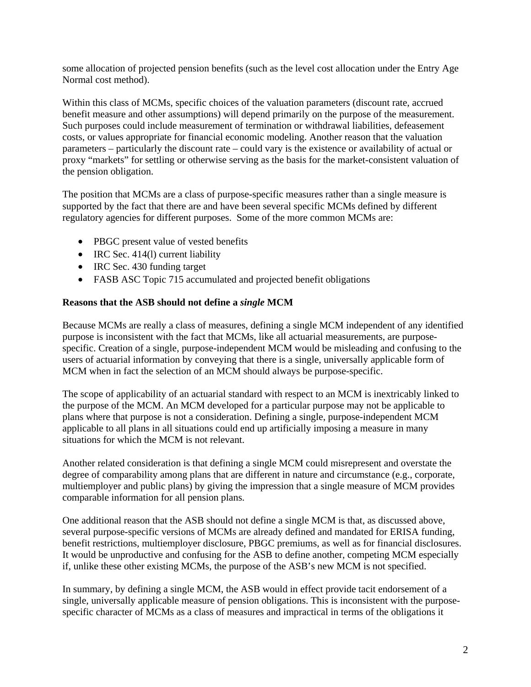some allocation of projected pension benefits (such as the level cost allocation under the Entry Age Normal cost method).

Within this class of MCMs, specific choices of the valuation parameters (discount rate, accrued benefit measure and other assumptions) will depend primarily on the purpose of the measurement. Such purposes could include measurement of termination or withdrawal liabilities, defeasement costs, or values appropriate for financial economic modeling. Another reason that the valuation parameters – particularly the discount rate – could vary is the existence or availability of actual or proxy "markets" for settling or otherwise serving as the basis for the market-consistent valuation of the pension obligation.

The position that MCMs are a class of purpose-specific measures rather than a single measure is supported by the fact that there are and have been several specific MCMs defined by different regulatory agencies for different purposes. Some of the more common MCMs are:

- PBGC present value of vested benefits
- IRC Sec. 414(1) current liability
- IRC Sec. 430 funding target
- FASB ASC Topic 715 accumulated and projected benefit obligations

## **Reasons that the ASB should not define a** *single* **MCM**

Because MCMs are really a class of measures, defining a single MCM independent of any identified purpose is inconsistent with the fact that MCMs, like all actuarial measurements, are purposespecific. Creation of a single, purpose-independent MCM would be misleading and confusing to the users of actuarial information by conveying that there is a single, universally applicable form of MCM when in fact the selection of an MCM should always be purpose-specific.

The scope of applicability of an actuarial standard with respect to an MCM is inextricably linked to the purpose of the MCM. An MCM developed for a particular purpose may not be applicable to plans where that purpose is not a consideration. Defining a single, purpose-independent MCM applicable to all plans in all situations could end up artificially imposing a measure in many situations for which the MCM is not relevant.

Another related consideration is that defining a single MCM could misrepresent and overstate the degree of comparability among plans that are different in nature and circumstance (e.g., corporate, multiemployer and public plans) by giving the impression that a single measure of MCM provides comparable information for all pension plans.

One additional reason that the ASB should not define a single MCM is that, as discussed above, several purpose-specific versions of MCMs are already defined and mandated for ERISA funding, benefit restrictions, multiemployer disclosure, PBGC premiums, as well as for financial disclosures. It would be unproductive and confusing for the ASB to define another, competing MCM especially if, unlike these other existing MCMs, the purpose of the ASB's new MCM is not specified.

In summary, by defining a single MCM, the ASB would in effect provide tacit endorsement of a single, universally applicable measure of pension obligations. This is inconsistent with the purposespecific character of MCMs as a class of measures and impractical in terms of the obligations it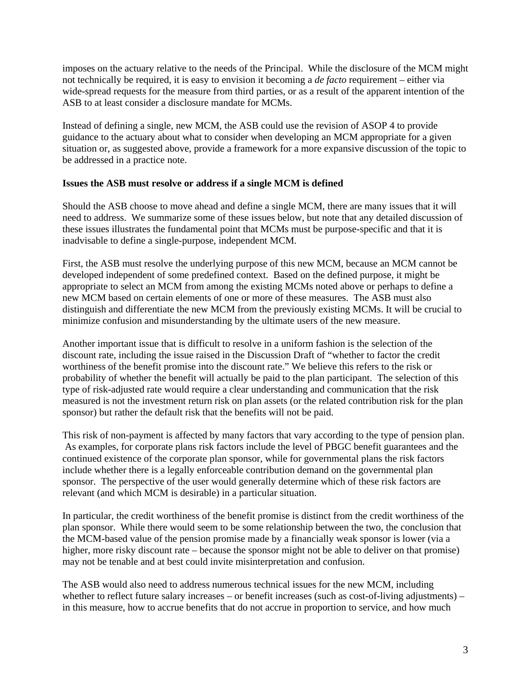imposes on the actuary relative to the needs of the Principal. While the disclosure of the MCM might not technically be required, it is easy to envision it becoming a *de facto* requirement – either via wide-spread requests for the measure from third parties, or as a result of the apparent intention of the ASB to at least consider a disclosure mandate for MCMs.

Instead of defining a single, new MCM, the ASB could use the revision of ASOP 4 to provide guidance to the actuary about what to consider when developing an MCM appropriate for a given situation or, as suggested above, provide a framework for a more expansive discussion of the topic to be addressed in a practice note.

## **Issues the ASB must resolve or address if a single MCM is defined**

Should the ASB choose to move ahead and define a single MCM, there are many issues that it will need to address. We summarize some of these issues below, but note that any detailed discussion of these issues illustrates the fundamental point that MCMs must be purpose-specific and that it is inadvisable to define a single-purpose, independent MCM.

First, the ASB must resolve the underlying purpose of this new MCM, because an MCM cannot be developed independent of some predefined context. Based on the defined purpose, it might be appropriate to select an MCM from among the existing MCMs noted above or perhaps to define a new MCM based on certain elements of one or more of these measures. The ASB must also distinguish and differentiate the new MCM from the previously existing MCMs. It will be crucial to minimize confusion and misunderstanding by the ultimate users of the new measure.

Another important issue that is difficult to resolve in a uniform fashion is the selection of the discount rate, including the issue raised in the Discussion Draft of "whether to factor the credit worthiness of the benefit promise into the discount rate." We believe this refers to the risk or probability of whether the benefit will actually be paid to the plan participant. The selection of this type of risk-adjusted rate would require a clear understanding and communication that the risk measured is not the investment return risk on plan assets (or the related contribution risk for the plan sponsor) but rather the default risk that the benefits will not be paid.

This risk of non-payment is affected by many factors that vary according to the type of pension plan. As examples, for corporate plans risk factors include the level of PBGC benefit guarantees and the continued existence of the corporate plan sponsor, while for governmental plans the risk factors include whether there is a legally enforceable contribution demand on the governmental plan sponsor. The perspective of the user would generally determine which of these risk factors are relevant (and which MCM is desirable) in a particular situation.

In particular, the credit worthiness of the benefit promise is distinct from the credit worthiness of the plan sponsor. While there would seem to be some relationship between the two, the conclusion that the MCM-based value of the pension promise made by a financially weak sponsor is lower (via a higher, more risky discount rate – because the sponsor might not be able to deliver on that promise) may not be tenable and at best could invite misinterpretation and confusion.

The ASB would also need to address numerous technical issues for the new MCM, including whether to reflect future salary increases – or benefit increases (such as cost-of-living adjustments) – in this measure, how to accrue benefits that do not accrue in proportion to service, and how much